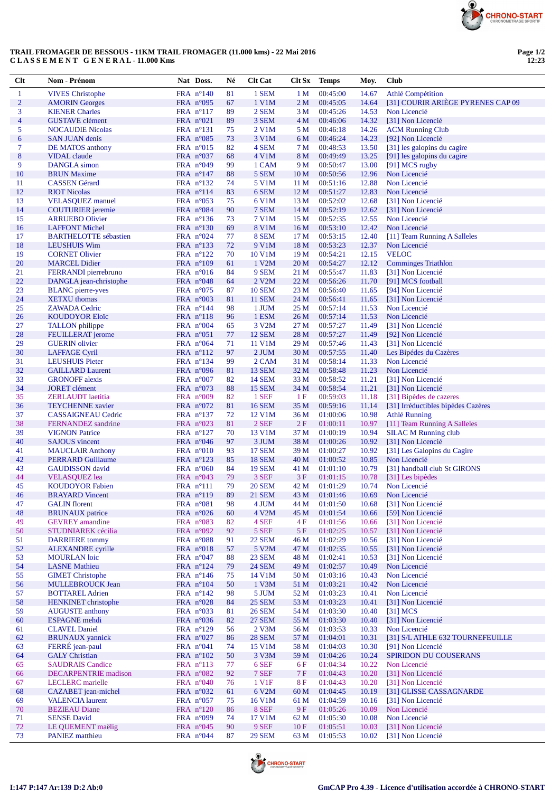

## **TRAIL FROMAGER DE BESSOUS - 11KM TRAIL FROMAGER (11.000 kms) - 22 Mai 2016 C L A S S E M E N T G E N E R A L - 11.000 Kms**

| Clt                      | Nom - Prénom                 | Nat Doss.           | Né | <b>Clt Cat</b> | <b>Clt Sx</b>   | <b>Temps</b> | Moy.  | <b>Club</b>                        |
|--------------------------|------------------------------|---------------------|----|----------------|-----------------|--------------|-------|------------------------------------|
| $\mathbf{1}$             | <b>VIVES Christophe</b>      | FRA $n^{\circ}140$  | 81 | 1 SEM          | 1 <sub>M</sub>  | 00:45:00     | 14.67 | Athlé Compétition                  |
| $\overline{2}$           | <b>AMORIN</b> Georges        | FRA $n^{\circ}095$  | 67 | 1 V1M          | 2 <sub>M</sub>  | 00:45:05     | 14.64 | [31] COURIR ARIÈGE PYRENES CAP 09  |
| 3                        | <b>KIENER Charles</b>        | FRA $n^{\circ}117$  | 89 | 2 SEM          | 3 M             | 00:45:26     | 14.53 | Non Licencié                       |
| $\overline{\mathcal{A}}$ | <b>GUSTAVE</b> clément       | FRA $n^{\circ}021$  | 89 | 3 SEM          | 4 M             | 00:46:06     | 14.32 | [31] Non Licencié                  |
| 5                        | <b>NOCAUDIE Nicolas</b>      | FRA $n^{\circ}131$  | 75 | 2 V1M          | 5 M             | 00:46:18     | 14.26 | <b>ACM Running Club</b>            |
| 6                        | <b>SAN JUAN denis</b>        | FRA $n^{\circ}085$  | 73 | 3 V1M          | 6 M             | 00:46:24     | 14.23 | [92] Non Licencié                  |
| $\tau$                   | DE MATOS anthony             | FRA $n^{\circ}015$  | 82 | 4 SEM          | 7 M             | 00:48:53     | 13.50 | [31] les galopins du cagire        |
| $\bf 8$                  | <b>VIDAL</b> claude          | FRA $n^{\circ}037$  | 68 | 4 V1M          | 8 M             | 00:49:49     | 13.25 | [91] les galopins du cagire        |
| 9                        | DANGLA simon                 | FRA $n^{\circ}049$  | 99 | 1 CAM          | 9 M             | 00:50:47     | 13.00 | [91] MCS rugby                     |
| 10                       | <b>BRUN Maxime</b>           | FRA $n^{\circ}147$  | 88 | 5 SEM          | 10 <sub>M</sub> | 00:50:56     | 12.96 | Non Licencié                       |
| 11                       | <b>CASSEN</b> Gérard         | FRA $n^{\circ}132$  | 74 | 5 V1M          | 11 M            | 00:51:16     | 12.88 | Non Licencié                       |
| 12                       |                              | FRA n°114           | 83 | 6 SEM          |                 |              |       | Non Licencié                       |
|                          | <b>RIOT Nicolas</b>          |                     |    |                | 12 <sub>M</sub> | 00:51:27     | 12.83 |                                    |
| 13                       | <b>VELASQUEZ</b> manuel      | FRA $n^{\circ}053$  | 75 | 6 V1M          | 13 M            | 00:52:02     | 12.68 | [31] Non Licencié                  |
| 14                       | <b>COUTURIER</b> jeremie     | FRA $n^{\circ}084$  | 90 | 7 SEM          | 14 M            | 00:52:19     | 12.62 | [31] Non Licencié                  |
| 15                       | <b>ARRUEBO Olivier</b>       | FRA $n^{\circ}136$  | 73 | 7 V1M          | 15 M            | 00:52:35     | 12.55 | Non Licencié                       |
| 16                       | <b>LAFFONT Michel</b>        | FRA $n^{\circ}130$  | 69 | <b>8 V1M</b>   | 16 <sub>M</sub> | 00:53:10     | 12.42 | Non Licencié                       |
| 17                       | <b>BARTHELOTTE</b> sébastien | FRA $n^{\circ}024$  | 77 | 8 SEM          | 17 M            | 00:53:15     | 12.40 | [11] Team Running A Salleles       |
| 18                       | <b>LEUSHUIS Wim</b>          | FRA $n^{\circ}$ 133 | 72 | 9 V1M          | 18 M            | 00:53:23     | 12.37 | Non Licencié                       |
| 19                       | <b>CORNET Olivier</b>        | FRA $n^{\circ}122$  | 70 | 10 V1M         | 19 <sub>M</sub> | 00:54:21     | 12.15 | <b>VELOC</b>                       |
| 20                       | <b>MARCEL Didier</b>         | FRA n°109           | 61 | 1 V2M          | 20 <sub>M</sub> | 00:54:27     | 12.12 | <b>Comminges Triathlon</b>         |
| 21                       | FERRANDI pierrebruno         | FRA $n^{\circ}016$  | 84 | 9 SEM          | 21 M            | 00:55:47     | 11.83 | [31] Non Licencié                  |
| 22                       | DANGLA jean-christophe       | FRA $n^{\circ}048$  | 64 | 2 V2M          | 22 M            | 00:56:26     | 11.70 | [91] MCS football                  |
| 23                       | <b>BLANC</b> pierre-yves     | FRA $n^{\circ}075$  | 87 | <b>10 SEM</b>  | 23 M            | 00:56:40     | 11.65 | [94] Non Licencié                  |
| 24                       | <b>XETXU</b> thomas          | FRA $n^{\circ}003$  | 81 | <b>11 SEM</b>  | 24 M            | 00:56:41     | 11.65 | [31] Non Licencié                  |
| 25                       | <b>ZAWADA Cedric</b>         | FRA $n^{\circ}144$  | 98 | 1 JUM          | 25 M            | 00:57:14     | 11.53 | Non Licencié                       |
| 26                       | <b>KOUDOYOR Eloïc</b>        | FRA $n^{\circ}118$  | 96 | 1 ESM          | 26 <sub>M</sub> | 00:57:14     | 11.53 | Non Licencié                       |
| 27                       | <b>TALLON</b> philippe       | FRA $n^{\circ}004$  | 65 | 3 V2M          | 27 M            | 00:57:27     | 11.49 | [31] Non Licencié                  |
| 28                       | FEUILLERAT jerome            | FRA $n^{\circ}051$  | 77 | <b>12 SEM</b>  | 28 M            | 00:57:27     | 11.49 | [92] Non Licencié                  |
| 29                       | <b>GUERIN</b> olivier        | FRA $n^{\circ}064$  | 71 | 11 V1M         | 29 M            | 00:57:46     | 11.43 | [31] Non Licencié                  |
| 30                       | <b>LAFFAGE Cyril</b>         | FRA $n^{\circ}112$  | 97 | 2 JUM          | 30 M            | 00:57:55     | 11.40 | Les Bipédes du Cazères             |
| 31                       | <b>LEUSHUIS Pieter</b>       | FRA $n^{\circ}$ 134 | 99 | 2 CAM          | 31 M            | 00:58:14     | 11.33 | Non Licencié                       |
| 32                       | <b>GAILLARD Laurent</b>      | FRA $n^{\circ}096$  | 81 | 13 SEM         | 32 M            | 00:58:48     | 11.23 | Non Licencié                       |
| 33                       |                              |                     |    |                |                 |              |       |                                    |
|                          | <b>GRONOFF</b> alexis        | FRA $n^{\circ}007$  | 82 | <b>14 SEM</b>  | 33 M            | 00:58:52     | 11.21 | [31] Non Licencié                  |
| 34                       | <b>JORET</b> clément         | FRA $n^{\circ}073$  | 88 | <b>15 SEM</b>  | 34 M            | 00:58:54     | 11.21 | [31] Non Licencié                  |
| 35                       | <b>ZERLAUDT</b> laetitia     | FRA $n°009$         | 82 | 1 SEF          | 1F              | 00:59:03     | 11.18 | [31] Bipèdes de cazeres            |
| 36                       | <b>TEYCHENNE</b> xavier      | FRA $n^{\circ}072$  | 81 | <b>16 SEM</b>  | 35 M            | 00:59:16     | 11.14 | [31] Irréductibles bipèdes Cazères |
| 37                       | <b>CASSAIGNEAU Cedric</b>    | FRA $n^{\circ}137$  | 72 | 12 V1M         | 36 M            | 01:00:06     | 10.98 | Athlé Running                      |
| 38                       | FERNANDEZ sandrine           | FRA $n^{\circ}023$  | 81 | 2 SEF          | 2F              | 01:00:11     | 10.97 | [11] Team Running A Salleles       |
| 39                       | <b>VIGNON Patrice</b>        | FRA $n^{\circ}127$  | 70 | 13 V1M         | 37 M            | 01:00:19     | 10.94 | <b>SILAC M Running club</b>        |
| 40                       | <b>SAJOUS</b> vincent        | FRA $n^{\circ}046$  | 97 | 3 JUM          | 38 M            | 01:00:26     | 10.92 | [31] Non Licencié                  |
| 41                       | <b>MAUCLAIR Anthony</b>      | FRA $n^{\circ}010$  | 93 | <b>17 SEM</b>  | 39 M            | 01:00:27     | 10.92 | [31] Les Galopins du Cagire        |
| 42                       | <b>PERRARD Guillaume</b>     | FRA $n^{\circ}123$  | 85 | <b>18 SEM</b>  | 40 M            | 01:00:52     | 10.85 | Non Licencié                       |
| 43                       | <b>GAUDISSON</b> david       | FRA $n^{\circ}060$  | 84 | <b>19 SEM</b>  | 41 M            | 01:01:10     | 10.79 | [31] handball club St GIRONS       |
| 44                       | <b>VELASQUEZ</b> lea         | FRA $n^{\circ}043$  | 79 | 3 SEF          | 3F              | 01:01:15     | 10.78 | [31] Les bipèdes                   |
| 45                       | <b>KOUDOYOR Fabien</b>       | $FRA$ n°111         | 79 | <b>20 SEM</b>  | 42 M            | 01:01:29     | 10.74 | Non Licencié                       |
| 46                       | <b>BRAYARD</b> Vincent       | FRA $n^{\circ}119$  | 89 | <b>21 SEM</b>  | 43 M            | 01:01:46     | 10.69 | Non Licencié                       |
| 47                       | <b>GALIN</b> florent         | FRA $n^{\circ}081$  | 98 | 4 JUM          | 44 M            | 01:01:50     | 10.68 | [31] Non Licencié                  |
| 48                       | <b>BRUNAUX</b> patrice       | FRA n°026           | 60 | 4 V2M          | 45 M            | 01:01:54     | 10.66 | [59] Non Licencié                  |
| 49                       | <b>GEVREY</b> amandine       | FRA n°083           | 82 | 4 SEF          | 4 F             | 01:01:56     | 10.66 | [31] Non Licencié                  |
| 50                       | STUDNIAREK cécilia           | FRA $n^{\circ}092$  | 92 | 5 SEF          | 5 F             | 01:02:25     | 10.57 | [31] Non Licencié                  |
| 51                       | <b>DARRIERE</b> tommy        | FRA n°088           | 91 | <b>22 SEM</b>  | 46 M            | 01:02:29     | 10.56 | [31] Non Licencié                  |
| 52                       |                              | FRA $n^{\circ}018$  |    |                |                 |              |       | [31] Non Licencié                  |
|                          | <b>ALEXANDRE</b> cyrille     |                     | 57 | 5 V2M          | 47 M            | 01:02:35     | 10.55 |                                    |
| 53                       | <b>MOURLAN</b> loic          | FRA $n^{\circ}047$  | 88 | <b>23 SEM</b>  | 48 M            | 01:02:41     | 10.53 | [31] Non Licencié                  |
| 54                       | <b>LASNE</b> Mathieu         | FRA $n^{\circ}124$  | 79 | <b>24 SEM</b>  | 49 M            | 01:02:57     | 10.49 | Non Licencié                       |
| 55                       | <b>GIMET Christophe</b>      | FRA $n^{\circ}146$  | 75 | 14 V1M         | 50 M            | 01:03:16     | 10.43 | Non Licencié                       |
| 56                       | <b>MULLEBROUCK Jean</b>      | FRA $n^{\circ}104$  | 50 | 1 V3M          | 51 M            | 01:03:21     | 10.42 | Non Licencié                       |
| 57                       | <b>BOTTAREL Adrien</b>       | FRA $n^{\circ}142$  | 98 | 5 JUM          | 52 M            | 01:03:23     | 10.41 | Non Licencié                       |
| 58                       | <b>HENKINET</b> christophe   | FRA $n^{\circ}028$  | 84 | <b>25 SEM</b>  | 53 M            | 01:03:23     | 10.41 | [31] Non Licencié                  |
| 59                       | <b>AUGUSTE</b> anthony       | FRA $n^{\circ}033$  | 81 | <b>26 SEM</b>  | 54 M            | 01:03:30     | 10.40 | $[31]$ MCS                         |
| 60                       | <b>ESPAGNE</b> mehdi         | FRA $n^{\circ}036$  | 82 | <b>27 SEM</b>  | 55 M            | 01:03:30     | 10.40 | [31] Non Licencié                  |
| 61                       | <b>CLAVEL Daniel</b>         | FRA $n^{\circ}129$  | 56 | 2 V3M          | 56 M            | 01:03:53     | 10.33 | Non Licencié                       |
| 62                       | <b>BRUNAUX</b> yannick       | FRA $n^{\circ}027$  | 86 | <b>28 SEM</b>  | 57 M            | 01:04:01     | 10.31 | [31] S/L ATHLE 632 TOURNEFEUILLE   |
| 63                       | FERRÉ jean-paul              | FRA $n°041$         | 74 | 15 V1M         | 58 M            | 01:04:03     | 10.30 | [91] Non Licencié                  |
| 64                       | <b>GALY Christian</b>        | FRA $n^{\circ}102$  | 50 | 3 V3M          | 59 M            | 01:04:26     | 10.24 | SPIRIDON DU COUSERANS              |
| 65                       | <b>SAUDRAIS Candice</b>      | FRA $n^{\circ}113$  | 77 | 6 SEF          | 6 F             | 01:04:34     | 10.22 | Non Licencié                       |
| 66                       | <b>DECARPENTRIE</b> madison  | FRA $n^{\circ}082$  | 92 | 7 SEF          | 7 F             | 01:04:43     | 10.20 | [31] Non Licencié                  |
| 67                       | <b>LECLERC</b> marielle      | FRA $n^{\circ}040$  | 76 | 1 V1F          | 8F              | 01:04:43     | 10.20 | [31] Non Licencié                  |
| 68                       | CAZABET jean-michel          | FRA $n^{\circ}032$  | 61 | 6 V2M          | 60 M            | 01:04:45     | 10.19 | [31] GLISSE CASSAGNARDE            |
| 69                       | <b>VALENCIA</b> laurent      | FRA $n^{\circ}057$  | 75 | 16 V1M         | 61 M            | 01:04:59     | 10.16 | [31] Non Licencié                  |
| 70                       | <b>BEZIEAU Diane</b>         | FRA n°120           | 86 | 8 SEF          | 9F              | 01:05:26     | 10.09 | Non Licencié                       |
| 71                       | <b>SENSE David</b>           | FRA $n^{\circ}099$  |    | 17 V1M         | 62 M            | 01:05:30     | 10.08 | Non Licencié                       |
| 72                       |                              |                     | 74 | 9 SEF          |                 |              |       | [31] Non Licencié                  |
|                          | LE QUEMENT maëlig            | FRA $n^{\circ}045$  | 90 |                | 10F             | 01:05:51     | 10.03 |                                    |
| 73                       | PANIEZ matthieu              | FRA $n^{\circ}044$  | 87 | <b>29 SEM</b>  | 63 M            | 01:05:53     | 10.02 | [31] Non Licencié                  |